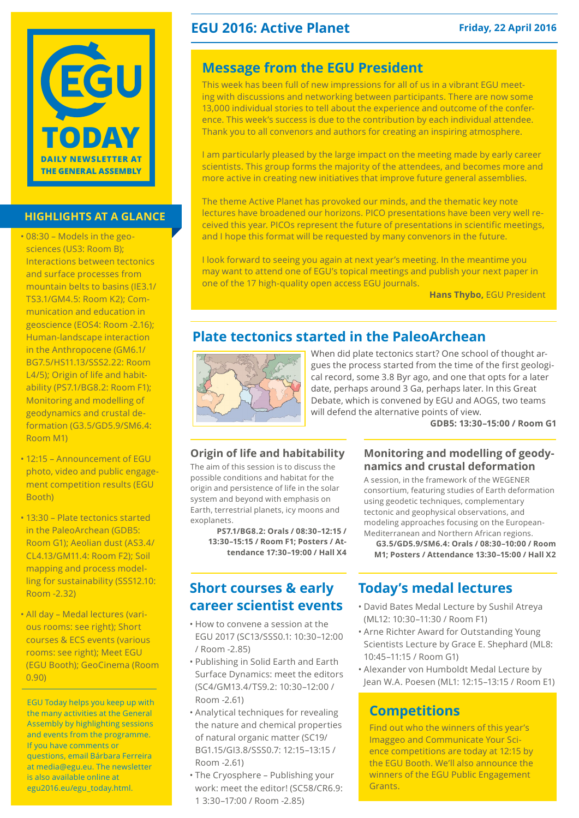

#### **highlights at a glance**

- • 08:30 Models in the geosciences (US3: Room B); Interactions between tectonics and surface processes from mountain belts to basins (IE3.1/ TS3.1/GM4.5: Room K2); Communication and education in geoscience (EOS4: Room -2.16); Human-landscape interaction in the Anthropocene (GM6.1/ BG7.5/HS11.13/SSS2.22: Room L4/5); Origin of life and habitability (PS7.1/BG8.2: Room F1); Monitoring and modelling of geodynamics and crustal deformation (G3.5/GD5.9/SM6.4: Room M1)
- • 12:15 Announcement of EGU photo, video and public engagement competition results (EGU Booth)
- 13:30 Plate tectonics started in the PaleoArchean (GDB5: Room G1); Aeolian dust (AS3.4/ CL4.13/GM11.4: Room F2); Soil mapping and process modelling for sustainability (SSS12.10: Room -2.32)
- • All day Medal lectures (various rooms: see right); Short courses & ECS events (various rooms: see right); Meet EGU (EGU Booth); GeoCinema (Room 0.90)

EGU Today helps you keep up with the many activities at the General Assembly by highlighting sessions and events from the programme. If you have comments or questions, email Bárbara Ferreira at media@egu.eu. The newsletter is also available online at [egu2016.eu/egu\\_today.html.](http://egu2016.eu/egu_today.html)

### **EGU 2016: Active Planet** Friday, 22 April 2016

### **Message from the EGU President**

This week has been full of new impressions for all of us in a vibrant EGU meeting with discussions and networking between participants. There are now some 13,000 individual stories to tell about the experience and outcome of the conference. This week's success is due to the contribution by each individual attendee. Thank you to all convenors and authors for creating an inspiring atmosphere.

I am particularly pleased by the large impact on the meeting made by early career scientists. This group forms the majority of the attendees, and becomes more and more active in creating new initiatives that improve future general assemblies.

The theme Active Planet has provoked our minds, and the thematic key note lectures have broadened our horizons. PICO presentations have been very well received this year. PICOs represent the future of presentations in scientific meetings, and I hope this format will be requested by many convenors in the future.

I look forward to seeing you again at next year's meeting. In the meantime you may want to attend one of EGU's topical meetings and publish your next paper in one of the 17 high-quality open access EGU journals.

**Hans Thybo,** EGU President

## **Plate tectonics started in the PaleoArchean**



When did plate tectonics start? One school of thought argues the process started from the time of the first geological record, some 3.8 Byr ago, and one that opts for a later date, perhaps around 3 Ga, perhaps later. In this Great Debate, which is convened by EGU and AOGS, two teams will defend the alternative points of view.

**GDB5: 13:30–15:00 / Room G1**

#### **Origin of life and habitability**

The aim of this session is to discuss the possible conditions and habitat for the origin and persistence of life in the solar system and beyond with emphasis on Earth, terrestrial planets, icy moons and exoplanets.

**PS7.1/BG8.2: Orals / 08:30–12:15 / 13:30–15:15 / Room F1; Posters / Attendance 17:30–19:00 / Hall X4**

### **Short courses & early career scientist events**

- • How to convene a session at the EGU 2017 (SC13/SSS0.1: 10:30–12:00 / Room -2.85)
- • Publishing in Solid Earth and Earth Surface Dynamics: meet the editors (SC4/GM13.4/TS9.2: 10:30–12:00 / Room -2.61)
- Analytical techniques for revealing the nature and chemical properties of natural organic matter (SC19/ BG1.15/GI3.8/SSS0.7: 12:15–13:15 / Room -2.61)
- The Cryosphere Publishing your work: meet the editor! (SC58/CR6.9: 1 3:30–17:00 / Room -2.85)

#### **Monitoring and modelling of geodynamics and crustal deformation**

A session, in the framework of the WEGENER consortium, featuring studies of Earth deformation using geodetic techniques, complementary tectonic and geophysical observations, and modeling approaches focusing on the European-Mediterranean and Northern African regions.

**G3.5/GD5.9/SM6.4: Orals / 08:30–10:00 / Room M1; Posters / Attendance 13:30–15:00 / Hall X2**

### **Today's medal lectures**

- • David Bates Medal Lecture by Sushil Atreya (ML12: 10:30–11:30 / Room F1)
- Arne Richter Award for Outstanding Young Scientists Lecture by Grace E. Shephard (ML8: 10:45–11:15 / Room G1)
- • Alexander von Humboldt Medal Lecture by Jean W.A. Poesen (ML1: 12:15–13:15 / Room E1)

### **Competitions**

Find out who the winners of this year's Imaggeo and Communicate Your Science competitions are today at 12:15 by the EGU Booth. We'll also announce the winners of the EGU Public Engagement Grants.